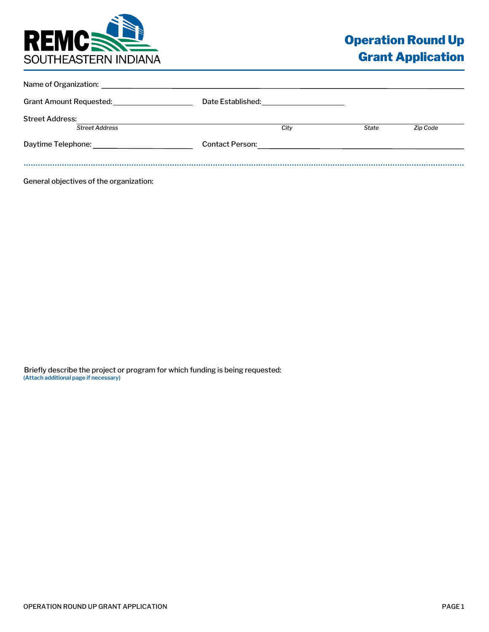

| Name of Organization:   |                                                         |              |          |
|-------------------------|---------------------------------------------------------|--------------|----------|
| Grant Amount Requested: | Date Established: National Property of the Established: |              |          |
| <b>Street Address:</b>  |                                                         |              |          |
| <b>Street Address</b>   | City                                                    | <b>State</b> | Zip Code |
| Daytime Telephone:      | <b>Contact Person:</b>                                  |              |          |
|                         |                                                         |              |          |

General objectives of the organization:

Briefly describe the project or program for which funding is being requested: **(Attach additional page if necessary)**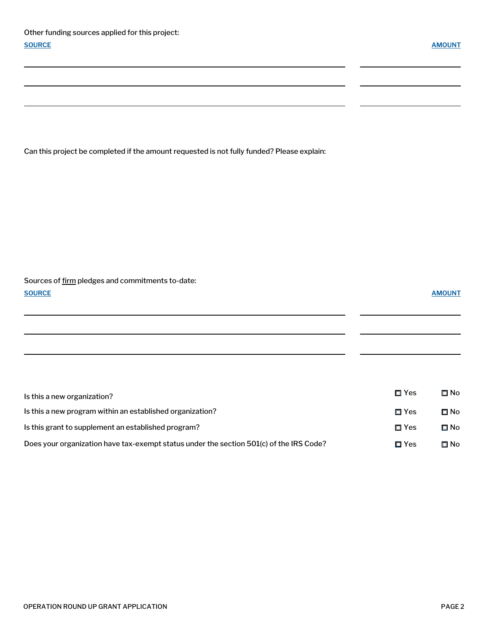$\overline{a}$ 

 $\overline{\phantom{a}}$ 

Can this project be completed if the amount requested is not fully funded? Please explain:

## Sources of firm pledges and commitments to-date: **SOURCE AMOUNT**

| Is this a new organization?                                                             | $\Box$ Yes    | Π No |
|-----------------------------------------------------------------------------------------|---------------|------|
| Is this a new program within an established organization?                               | □ Yes         | ⊟ No |
| Is this grant to supplement an established program?                                     | $\Box$ Yes    | □ No |
| Does your organization have tax-exempt status under the section 501(c) of the IRS Code? | $\square$ Yes | ⊟ No |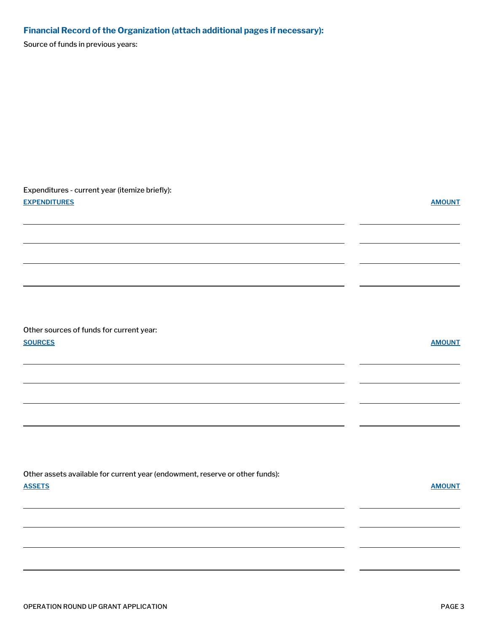# **Financial Record of the Organization (attach additional pages if necessary):**

Source of funds in previous years:

| Expenditures - current year (itemize briefly):<br><b>EXPENDITURES</b>                         | <b>AMOUNT</b> |
|-----------------------------------------------------------------------------------------------|---------------|
| Other sources of funds for current year:                                                      |               |
| <b>SOURCES</b>                                                                                | <b>AMOUNT</b> |
| Other assets available for current year (endowment, reserve or other funds):<br><b>ASSETS</b> | <b>AMOUNT</b> |
|                                                                                               |               |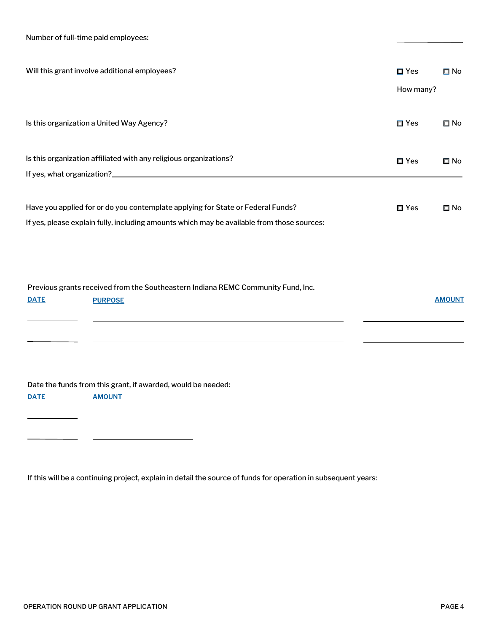| Number of full-time paid employees: |  |
|-------------------------------------|--|
|                                     |  |

| Will this grant involve additional employees?                                                                                                                                 | $\square$ Yes | $\square$ No  |
|-------------------------------------------------------------------------------------------------------------------------------------------------------------------------------|---------------|---------------|
|                                                                                                                                                                               | How many?     |               |
| Is this organization a United Way Agency?                                                                                                                                     | $\square$ Yes | $\square$ No  |
| Is this organization affiliated with any religious organizations?                                                                                                             | $\square$ Yes | $\square$ No  |
|                                                                                                                                                                               |               |               |
| Have you applied for or do you contemplate applying for State or Federal Funds?<br>If yes, please explain fully, including amounts which may be available from those sources: | $\square$ Yes | $\square$ No  |
| Previous grants received from the Southeastern Indiana REMC Community Fund, Inc.<br><b>DATE</b><br><b>PURPOSE</b>                                                             |               | <b>AMOUNT</b> |
| Date the funds from this grant, if awarded, would be needed:                                                                                                                  |               |               |

If this will be a continuing project, explain in detail the source of funds for operation in subsequent years:

**DATE AMOUNT**

 $\overline{a}$ 

 $\overline{\phantom{a}}$ 

 $\overline{\phantom{0}}$ 

<u> 1980 - Andrea Andrew Maria (h. 1980).</u>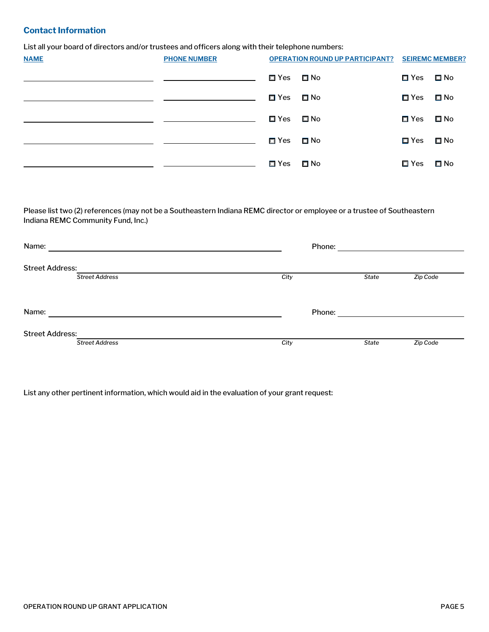### **Contact Information**

List all your board of directors and/or trustees and officers along with their telephone numbers:

| <b>NAME</b> | <b>PHONE NUMBER</b> |               | <b>OPERATION ROUND UP PARTICIPANT?</b> |               | <b>SEIREMC MEMBER?</b> |
|-------------|---------------------|---------------|----------------------------------------|---------------|------------------------|
|             |                     | <b>□ Yes</b>  | Mo D                                   | $\square$ Yes | □ No                   |
|             |                     | $\square$ Yes | $\Box$ No                              | $\square$ Yes | $\square$ No           |
|             |                     | □ Yes         | $\square$ No                           | □ Yes         | $\square$ No           |
|             |                     | <b>□ Yes</b>  | <b>□</b> No                            | $\square$ Yes | □ No                   |
|             |                     | <b>□ Yes</b>  | Mo ⊡                                   | □ Yes         | □ No                   |

Please list two (2) references (may not be a Southeastern Indiana REMC director or employee or a trustee of Southeastern Indiana REMC Community Fund, Inc.)

| Name:                  | Phone: |              |          |
|------------------------|--------|--------------|----------|
| <b>Street Address:</b> |        |              |          |
| <b>Street Address</b>  | City   | State        | Zip Code |
|                        |        |              |          |
| Name:                  | Phone: |              |          |
|                        |        |              |          |
| <b>Street Address:</b> |        |              |          |
| <b>Street Address</b>  | City   | <b>State</b> | Zip Code |

List any other pertinent information, which would aid in the evaluation of your grant request: